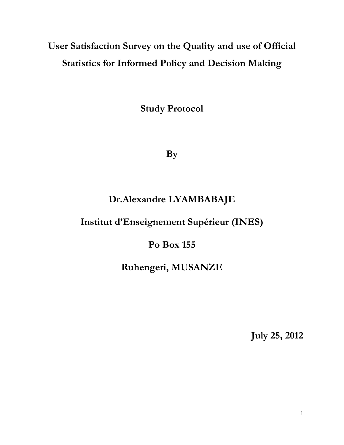# **User Satisfaction Survey on the Quality and use of Official Statistics for Informed Policy and Decision Making**

**Study Protocol**

**By** 

## **Dr.Alexandre LYAMBABAJE**

## **Institut d'Enseignement Supérieur (INES)**

## **Po Box 155**

## **Ruhengeri, MUSANZE**

**July 25, 2012**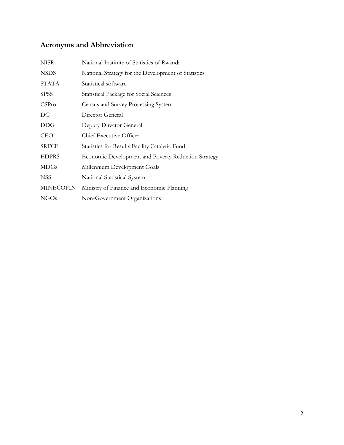## **Acronyms and Abbreviation**

| <b>NISR</b>      | National Institute of Statistics of Rwanda          |
|------------------|-----------------------------------------------------|
| <b>NSDS</b>      | National Strategy for the Development of Statistics |
| <b>STATA</b>     | Statistical software                                |
| <b>SPSS</b>      | <b>Statistical Package for Social Sciences</b>      |
| CSPro            | Census and Survey Processing System                 |
| DG               | Director General                                    |
| <b>DDG</b>       | Deputy Director General                             |
| <b>CEO</b>       | Chief Executive Officer                             |
| <b>SRFCF</b>     | Statistics for Results Facility Catalytic Fund      |
| <b>EDPRS</b>     | Economic Development and Poverty Reduction Strategy |
| <b>MDGs</b>      | Millennium Development Goals                        |
| <b>NSS</b>       | National Statistical System                         |
| <b>MINECOFIN</b> | Ministry of Finance and Economic Planning           |
| NGO <sub>s</sub> | Non-Government Organizations                        |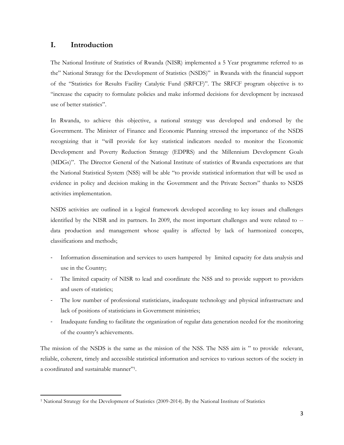## **I. Introduction**

 $\overline{a}$ 

The National Institute of Statistics of Rwanda (NISR) implemented a 5 Year programme referred to as the" National Strategy for the Development of Statistics (NSDS)" in Rwanda with the financial support of the "Statistics for Results Facility Catalytic Fund (SRFCF)". The SRFCF program objective is to "increase the capacity to formulate policies and make informed decisions for development by increased use of better statistics".

In Rwanda, to achieve this objective, a national strategy was developed and endorsed by the Government. The Minister of Finance and Economic Planning stressed the importance of the NSDS recognizing that it "will provide for key statistical indicators needed to monitor the Economic Development and Poverty Reduction Strategy (EDPRS) and the Millennium Development Goals (MDGs)". The Director General of the National Institute of statistics of Rwanda expectations are that the National Statistical System (NSS) will be able "to provide statistical information that will be used as evidence in policy and decision making in the Government and the Private Sectors" thanks to NSDS activities implementation.

NSDS activities are outlined in a logical framework developed according to key issues and challenges identified by the NISR and its partners. In 2009, the most important challenges and were related to - data production and management whose quality is affected by lack of harmonized concepts, classifications and methods;

- Information dissemination and services to users hampered by limited capacity for data analysis and use in the Country;
- The limited capacity of NISR to lead and coordinate the NSS and to provide support to providers and users of statistics;
- The low number of professional statisticians, inadequate technology and physical infrastructure and lack of positions of statisticians in Government ministries;
- Inadequate funding to facilitate the organization of regular data generation needed for the monitoring of the country's achievements.

The mission of the NSDS is the same as the mission of the NSS. The NSS aim is " to provide relevant, reliable, coherent, timely and accessible statistical information and services to various sectors of the society in a coordinated and sustainable manner"<sup>1</sup> .

<sup>1</sup> National Strategy for the Development of Statistics (2009-2014). By the National Institute of Statistics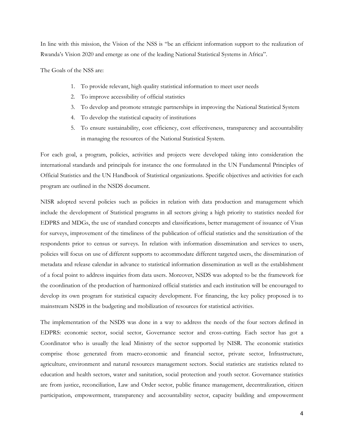In line with this mission, the Vision of the NSS is "be an efficient information support to the realization of Rwanda's Vision 2020 and emerge as one of the leading National Statistical Systems in Africa".

The Goals of the NSS are:

- 1. To provide relevant, high quality statistical information to meet user needs
- 2. To improve accessibility of official statistics
- 3. To develop and promote strategic partnerships in improving the National Statistical System
- 4. To develop the statistical capacity of institutions
- 5. To ensure sustainability, cost efficiency, cost effectiveness, transparency and accountability in managing the resources of the National Statistical System.

For each goal, a program, policies, activities and projects were developed taking into consideration the international standards and principals for instance the one formulated in the UN Fundamental Principles of Official Statistics and the UN Handbook of Statistical organizations. Specific objectives and activities for each program are outlined in the NSDS document.

NISR adopted several policies such as policies in relation with data production and management which include the development of Statistical programs in all sectors giving a high priority to statistics needed for EDPRS and MDGs, the use of standard concepts and classifications, better management of issuance of Visas for surveys, improvement of the timeliness of the publication of official statistics and the sensitization of the respondents prior to census or surveys. In relation with information dissemination and services to users, policies will focus on use of different supports to accommodate different targeted users, the dissemination of metadata and release calendar in advance to statistical information dissemination as well as the establishment of a focal point to address inquiries from data users. Moreover, NSDS was adopted to be the framework for the coordination of the production of harmonized official statistics and each institution will be encouraged to develop its own program for statistical capacity development. For financing, the key policy proposed is to mainstream NSDS in the budgeting and mobilization of resources for statistical activities.

The implementation of the NSDS was done in a way to address the needs of the four sectors defined in EDPRS: economic sector, social sector, Governance sector and cross-cutting. Each sector has got a Coordinator who is usually the lead Ministry of the sector supported by NISR. The economic statistics comprise those generated from macro-economic and financial sector, private sector, Infrastructure, agriculture, environment and natural resources management sectors. Social statistics are statistics related to education and health sectors, water and sanitation, social protection and youth sector. Governance statistics are from justice, reconciliation, Law and Order sector, public finance management, decentralization, citizen participation, empowerment, transparency and accountability sector, capacity building and empowerment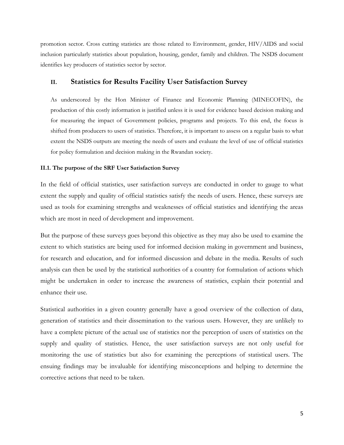promotion sector. Cross cutting statistics are those related to Environment, gender, HIV/AIDS and social inclusion particularly statistics about population, housing, gender, family and children. The NSDS document identifies key producers of statistics sector by sector.

## **II. Statistics for Results Facility User Satisfaction Survey**

As underscored by the Hon Minister of Finance and Economic Planning (MINECOFIN), the production of this costly information is justified unless it is used for evidence based decision making and for measuring the impact of Government policies, programs and projects. To this end, the focus is shifted from producers to users of statistics. Therefore, it is important to assess on a regular basis to what extent the NSDS outputs are meeting the needs of users and evaluate the level of use of official statistics for policy formulation and decision making in the Rwandan society.

### **II.1. The purpose of the SRF User Satisfaction Survey**

In the field of official statistics, user satisfaction surveys are conducted in order to gauge to what extent the supply and quality of official statistics satisfy the needs of users. Hence, these surveys are used as tools for examining strengths and weaknesses of official statistics and identifying the areas which are most in need of development and improvement.

But the purpose of these surveys goes beyond this objective as they may also be used to examine the extent to which statistics are being used for informed decision making in government and business, for research and education, and for informed discussion and debate in the media. Results of such analysis can then be used by the statistical authorities of a country for formulation of actions which might be undertaken in order to increase the awareness of statistics, explain their potential and enhance their use.

Statistical authorities in a given country generally have a good overview of the collection of data, generation of statistics and their dissemination to the various users. However, they are unlikely to have a complete picture of the actual use of statistics nor the perception of users of statistics on the supply and quality of statistics. Hence, the user satisfaction surveys are not only useful for monitoring the use of statistics but also for examining the perceptions of statistical users. The ensuing findings may be invaluable for identifying misconceptions and helping to determine the corrective actions that need to be taken.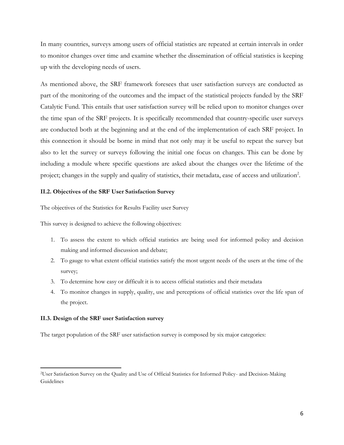In many countries, surveys among users of official statistics are repeated at certain intervals in order to monitor changes over time and examine whether the dissemination of official statistics is keeping up with the developing needs of users.

As mentioned above, the SRF framework foresees that user satisfaction surveys are conducted as part of the monitoring of the outcomes and the impact of the statistical projects funded by the SRF Catalytic Fund. This entails that user satisfaction survey will be relied upon to monitor changes over the time span of the SRF projects. It is specifically recommended that country-specific user surveys are conducted both at the beginning and at the end of the implementation of each SRF project. In this connection it should be borne in mind that not only may it be useful to repeat the survey but also to let the survey or surveys following the initial one focus on changes. This can be done by including a module where specific questions are asked about the changes over the lifetime of the project; changes in the supply and quality of statistics, their metadata, ease of access and utilization<sup>2</sup>.

### **II.2. Objectives of the SRF User Satisfaction Survey**

The objectives of the Statistics for Results Facility user Survey

This survey is designed to achieve the following objectives:

- 1. To assess the extent to which official statistics are being used for informed policy and decision making and informed discussion and debate;
- 2. To gauge to what extent official statistics satisfy the most urgent needs of the users at the time of the survey;
- 3. To determine how easy or difficult it is to access official statistics and their metadata
- 4. To monitor changes in supply, quality, use and perceptions of official statistics over the life span of the project.

### **II.3. Design of the SRF user Satisfaction survey**

 $\overline{\phantom{a}}$ 

The target population of the SRF user satisfaction survey is composed by six major categories:

<sup>2</sup>User Satisfaction Survey on the Quality and Use of Official Statistics for Informed Policy- and Decision-Making Guidelines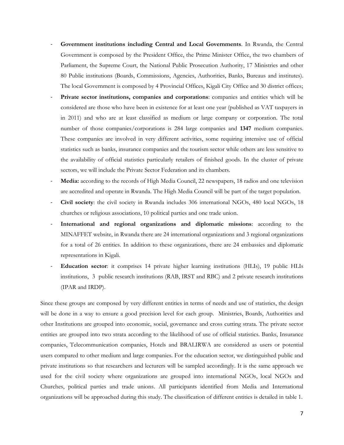- **Government institutions including Central and Local Governments**. In Rwanda, the Central Government is composed by the President Office, the Prime Minister Office, the two chambers of Parliament, the Supreme Court, the National Public Prosecution Authority, 17 Ministries and other 80 Public institutions (Boards, Commissions, Agencies, Authorities, Banks, Bureaus and institutes). The local Government is composed by 4 Provincial Offices, Kigali City Office and 30 district offices;
- **Private sector institutions, companies and corporations**: companies and entities which will be considered are those who have been in existence for at least one year (published as VAT taxpayers in in 2011) and who are at least classified as medium or large company or corporation. The total number of those companies/corporations is 284 large companies and **1347** medium companies. These companies are involved in very different activities, some requiring intensive use of official statistics such as banks, insurance companies and the tourism sector while others are less sensitive to the availability of official statistics particularly retailers of finished goods. In the cluster of private sectors, we will include the Private Sector Federation and its chambers.
- **Media:** according to the records of High Media Council, 22 newspapers, 18 radios and one television are accredited and operate in Rwanda. The High Media Council will be part of the target population.
- **Civil society**: the civil society in Rwanda includes 306 international NGOs, 480 local NGOs, 18 churches or religious associations, 10 political parties and one trade union.
- International and regional organizations and diplomatic missions: according to the MINAFFET website, in Rwanda there are 24 international organizations and 3 regional organizations for a total of 26 entities. In addition to these organizations, there are 24 embassies and diplomatic representations in Kigali.
- **Education sector**: it comprises 14 private higher learning institutions (HLIs), 19 public HLIs institutions, 3 public research institutions (RAB, IRST and RBC) and 2 private research institutions (IPAR and IRDP).

Since these groups are composed by very different entities in terms of needs and use of statistics, the design will be done in a way to ensure a good precision level for each group. Ministries, Boards, Authorities and other Institutions are grouped into economic, social, governance and cross cutting strata. The private sector entities are grouped into two strata according to the likelihood of use of official statistics. Banks, Insurance companies, Telecommunication companies, Hotels and BRALIRWA are considered as users or potential users compared to other medium and large companies. For the education sector, we distinguished public and private institutions so that researchers and lecturers will be sampled accordingly. It is the same approach we used for the civil society where organizations are grouped into international NGOs, local NGOs and Churches, political parties and trade unions. All participants identified from Media and International organizations will be approached during this study. The classification of different entities is detailed in table 1.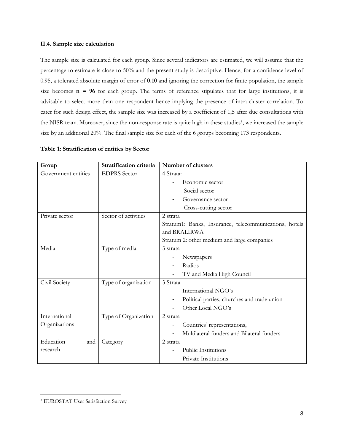### **II.4. Sample size calculation**

The sample size is calculated for each group. Since several indicators are estimated, we will assume that the percentage to estimate is close to 50% and the present study is descriptive. Hence, for a confidence level of 0.95, a tolerated absolute margin of error of **0.10** and ignoring the correction for finite population, the sample size becomes  $n = 96$  for each group. The terms of reference stipulates that for large institutions, it is advisable to select more than one respondent hence implying the presence of intra-cluster correlation. To cater for such design effect, the sample size was increased by a coefficient of 1,5 after due consultations with the NISR team. Moreover, since the non-response rate is quite high in these studies<sup>3</sup>, we increased the sample size by an additional 20%. The final sample size for each of the 6 groups becoming 173 respondents.

| Group               | Stratification criteria | Number of clusters                                     |  |  |  |  |
|---------------------|-------------------------|--------------------------------------------------------|--|--|--|--|
| Government entities | <b>EDPRS</b> Sector     | 4 Strata:                                              |  |  |  |  |
|                     |                         | Economic sector                                        |  |  |  |  |
|                     |                         | Social sector                                          |  |  |  |  |
|                     |                         | Governance sector                                      |  |  |  |  |
|                     |                         | Cross-cutting sector                                   |  |  |  |  |
| Private sector      | Sector of activities    | 2 strata                                               |  |  |  |  |
|                     |                         | Stratum1: Banks, Insurance, telecommunications, hotels |  |  |  |  |
|                     |                         | and BRALIRWA                                           |  |  |  |  |
|                     |                         | Stratum 2: other medium and large companies            |  |  |  |  |
| Media               | Type of media           | 3 strata                                               |  |  |  |  |
|                     |                         | Newspapers                                             |  |  |  |  |
|                     |                         | Radios                                                 |  |  |  |  |
|                     |                         | TV and Media High Council                              |  |  |  |  |
| Civil Society       | Type of organization    | 3 Strata                                               |  |  |  |  |
|                     |                         | International NGO's                                    |  |  |  |  |
|                     |                         | Political parties, churches and trade union            |  |  |  |  |
|                     |                         | Other Local NGO's                                      |  |  |  |  |
| International       | Type of Organization    | 2 strata                                               |  |  |  |  |
| Organizations       |                         | Countries' representations,                            |  |  |  |  |
|                     |                         | Multilateral funders and Bilateral funders             |  |  |  |  |
| Education<br>and    | Category                | 2 strata                                               |  |  |  |  |
| research            |                         | <b>Public Institutions</b>                             |  |  |  |  |
|                     |                         | Private Institutions                                   |  |  |  |  |

 $\overline{\phantom{a}}$ <sup>3</sup> EUROSTAT User Satisfaction Survey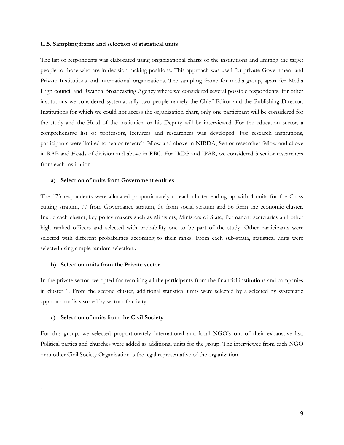#### **II.5. Sampling frame and selection of statistical units**

The list of respondents was elaborated using organizational charts of the institutions and limiting the target people to those who are in decision making positions. This approach was used for private Government and Private Institutions and international organizations. The sampling frame for media group, apart for Media High council and Rwanda Broadcasting Agency where we considered several possible respondents, for other institutions we considered systematically two people namely the Chief Editor and the Publishing Director. Institutions for which we could not access the organization chart, only one participant will be considered for the study and the Head of the institution or his Deputy will be interviewed. For the education sector, a comprehensive list of professors, lecturers and researchers was developed. For research institutions, participants were limited to senior research fellow and above in NIRDA, Senior researcher fellow and above in RAB and Heads of division and above in RBC. For IRDP and IPAR, we considered 3 senior researchers from each institution.

#### **a) Selection of units from Government entities**

The 173 respondents were allocated proportionately to each cluster ending up with 4 units for the Cross cutting stratum, 77 from Governance stratum, 36 from social stratum and 56 form the economic cluster. Inside each cluster, key policy makers such as Ministers, Ministers of State, Permanent secretaries and other high ranked officers and selected with probability one to be part of the study. Other participants were selected with different probabilities according to their ranks. From each sub-strata, statistical units were selected using simple random selection..

#### **b) Selection units from the Private sector**

In the private sector, we opted for recruiting all the participants from the financial institutions and companies in cluster 1. From the second cluster, additional statistical units were selected by a selected by systematic approach on lists sorted by sector of activity.

#### **c) Selection of units from the Civil Society**

.

For this group, we selected proportionately international and local NGO's out of their exhaustive list. Political parties and churches were added as additional units for the group. The interviewee from each NGO or another Civil Society Organization is the legal representative of the organization.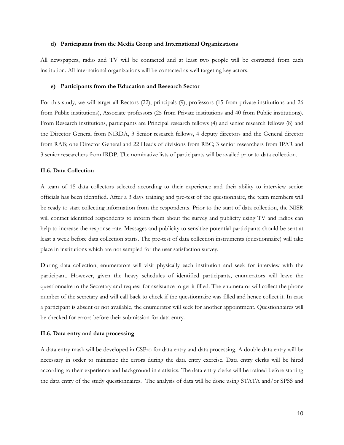#### **d) Participants from the Media Group and International Organizations**

All newspapers, radio and TV will be contacted and at least two people will be contacted from each institution. All international organizations will be contacted as well targeting key actors.

#### **e) Participants from the Education and Research Sector**

For this study, we will target all Rectors (22), principals (9), professors (15 from private institutions and 26 from Public institutions), Associate professors (25 from Private institutions and 40 from Public institutions). From Research institutions, participants are Principal research fellows (4) and senior research fellows (8) and the Director General from NIRDA, 3 Senior research fellows, 4 deputy directors and the General director from RAB; one Director General and 22 Heads of divisions from RBC; 3 senior researchers from IPAR and 3 senior researchers from IRDP. The nominative lists of participants will be availed prior to data collection.

#### **II.6. Data Collection**

A team of 15 data collectors selected according to their experience and their ability to interview senior officials has been identified. After a 3 days training and pre-test of the questionnaire, the team members will be ready to start collecting information from the respondents. Prior to the start of data collection, the NISR will contact identified respondents to inform them about the survey and publicity using TV and radios can help to increase the response rate. Messages and publicity to sensitize potential participants should be sent at least a week before data collection starts. The pre-test of data collection instruments (questionnaire) will take place in institutions which are not sampled for the user satisfaction survey.

During data collection, enumerators will visit physically each institution and seek for interview with the participant. However, given the heavy schedules of identified participants, enumerators will leave the questionnaire to the Secretary and request for assistance to get it filled. The enumerator will collect the phone number of the secretary and will call back to check if the questionnaire was filled and hence collect it. In case a participant is absent or not available, the enumerator will seek for another appointment. Questionnaires will be checked for errors before their submission for data entry.

#### **II.6. Data entry and data processing**

A data entry mask will be developed in CSPro for data entry and data processing. A double data entry will be necessary in order to minimize the errors during the data entry exercise. Data entry clerks will be hired according to their experience and background in statistics. The data entry clerks will be trained before starting the data entry of the study questionnaires. The analysis of data will be done using STATA and/or SPSS and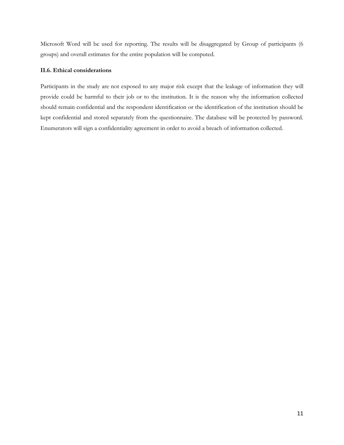Microsoft Word will be used for reporting. The results will be disaggregated by Group of participants (6 groups) and overall estimates for the entire population will be computed.

### **II.6. Ethical considerations**

Participants in the study are not exposed to any major risk except that the leakage of information they will provide could be harmful to their job or to the institution. It is the reason why the information collected should remain confidential and the respondent identification or the identification of the institution should be kept confidential and stored separately from the questionnaire. The database will be protected by password. Enumerators will sign a confidentiality agreement in order to avoid a breach of information collected.